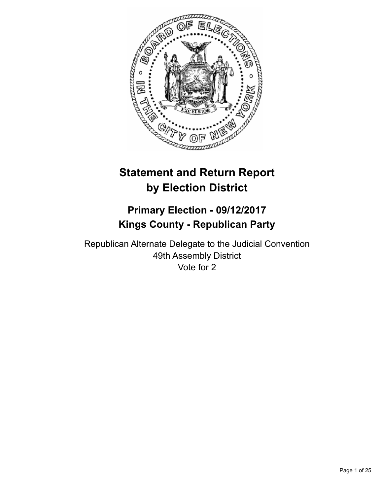

# **Statement and Return Report by Election District**

# **Primary Election - 09/12/2017 Kings County - Republican Party**

Republican Alternate Delegate to the Judicial Convention 49th Assembly District Vote for 2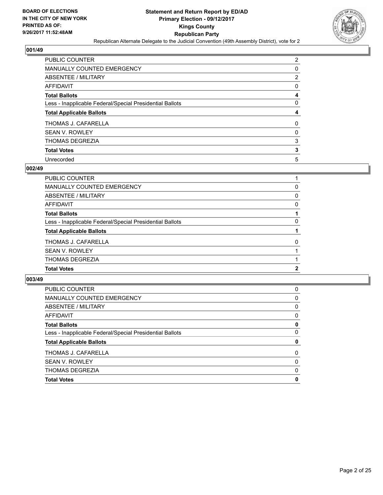

| PUBLIC COUNTER                                           | 2 |
|----------------------------------------------------------|---|
| <b>MANUALLY COUNTED EMERGENCY</b>                        | 0 |
| ABSENTEE / MILITARY                                      | 2 |
| AFFIDAVIT                                                | 0 |
| <b>Total Ballots</b>                                     | 4 |
| Less - Inapplicable Federal/Special Presidential Ballots | 0 |
| <b>Total Applicable Ballots</b>                          | 4 |
| THOMAS J. CAFARELLA                                      | 0 |
| <b>SEAN V. ROWLEY</b>                                    | 0 |
| <b>THOMAS DEGREZIA</b>                                   | 3 |
|                                                          |   |
| <b>Total Votes</b>                                       | 3 |

#### **002/49**

| PUBLIC COUNTER                                           |   |
|----------------------------------------------------------|---|
| <b>MANUALLY COUNTED EMERGENCY</b>                        | 0 |
| ABSENTEE / MILITARY                                      | 0 |
| <b>AFFIDAVIT</b>                                         | 0 |
| <b>Total Ballots</b>                                     |   |
| Less - Inapplicable Federal/Special Presidential Ballots | 0 |
| <b>Total Applicable Ballots</b>                          |   |
| THOMAS J. CAFARELLA                                      | 0 |
| <b>SEAN V. ROWLEY</b>                                    |   |
| THOMAS DEGREZIA                                          |   |
| <b>Total Votes</b>                                       | 2 |
|                                                          |   |

| PUBLIC COUNTER                                           | 0 |
|----------------------------------------------------------|---|
| <b>MANUALLY COUNTED EMERGENCY</b>                        | 0 |
| ABSENTEE / MILITARY                                      | 0 |
| AFFIDAVIT                                                | 0 |
| <b>Total Ballots</b>                                     | 0 |
| Less - Inapplicable Federal/Special Presidential Ballots | 0 |
| <b>Total Applicable Ballots</b>                          | 0 |
| THOMAS J. CAFARELLA                                      | 0 |
| <b>SEAN V. ROWLEY</b>                                    | 0 |
| <b>THOMAS DEGREZIA</b>                                   | 0 |
| <b>Total Votes</b>                                       | 0 |
|                                                          |   |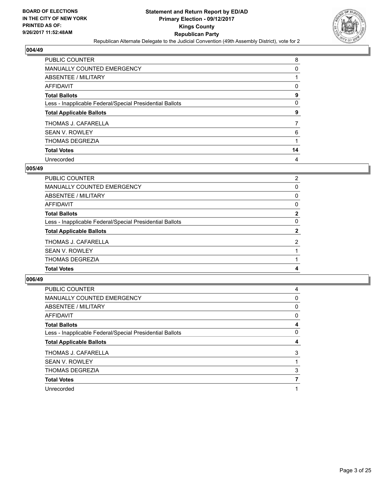

| PUBLIC COUNTER                                           | 8  |
|----------------------------------------------------------|----|
| <b>MANUALLY COUNTED EMERGENCY</b>                        | 0  |
| ABSENTEE / MILITARY                                      |    |
| AFFIDAVIT                                                | 0  |
| <b>Total Ballots</b>                                     | 9  |
| Less - Inapplicable Federal/Special Presidential Ballots | 0  |
| <b>Total Applicable Ballots</b>                          | 9  |
| THOMAS J. CAFARELLA                                      | 7  |
| <b>SEAN V. ROWLEY</b>                                    | 6  |
| <b>THOMAS DEGREZIA</b>                                   |    |
| <b>Total Votes</b>                                       | 14 |
| Unrecorded                                               | 4  |

#### **005/49**

| <b>PUBLIC COUNTER</b>                                    | $\overline{2}$ |
|----------------------------------------------------------|----------------|
| <b>MANUALLY COUNTED EMERGENCY</b>                        | $\Omega$       |
| <b>ABSENTEE / MILITARY</b>                               | 0              |
| <b>AFFIDAVIT</b>                                         | 0              |
| <b>Total Ballots</b>                                     | $\overline{2}$ |
| Less - Inapplicable Federal/Special Presidential Ballots | $\Omega$       |
| <b>Total Applicable Ballots</b>                          | $\mathbf{2}$   |
| THOMAS J. CAFARELLA                                      | $\overline{2}$ |
| <b>SEAN V. ROWLEY</b>                                    |                |
| <b>THOMAS DEGREZIA</b>                                   |                |
| <b>Total Votes</b>                                       | 4              |
|                                                          |                |

| PUBLIC COUNTER                                           | 4            |
|----------------------------------------------------------|--------------|
| <b>MANUALLY COUNTED EMERGENCY</b>                        | $\mathbf{0}$ |
| ABSENTEE / MILITARY                                      | $\mathbf{0}$ |
| AFFIDAVIT                                                | 0            |
| <b>Total Ballots</b>                                     | 4            |
| Less - Inapplicable Federal/Special Presidential Ballots | 0            |
| <b>Total Applicable Ballots</b>                          | 4            |
|                                                          |              |
| THOMAS J. CAFARELLA                                      | 3            |
| <b>SEAN V. ROWLEY</b>                                    |              |
| <b>THOMAS DEGREZIA</b>                                   | 3            |
| <b>Total Votes</b>                                       |              |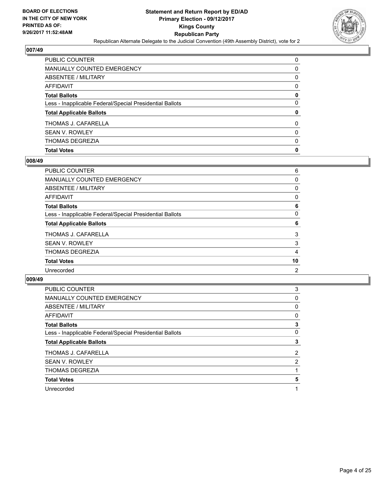

| PUBLIC COUNTER                                           | 0        |
|----------------------------------------------------------|----------|
| <b>MANUALLY COUNTED EMERGENCY</b>                        | 0        |
| <b>ABSENTEE / MILITARY</b>                               | 0        |
| AFFIDAVIT                                                | 0        |
| <b>Total Ballots</b>                                     | 0        |
| Less - Inapplicable Federal/Special Presidential Ballots | 0        |
| <b>Total Applicable Ballots</b>                          | 0        |
| THOMAS J. CAFARELLA                                      | 0        |
| <b>SEAN V. ROWLEY</b>                                    | $\Omega$ |
| THOMAS DEGREZIA                                          | 0        |
| <b>Total Votes</b>                                       | 0        |

# **008/49**

| PUBLIC COUNTER                                           | 6              |
|----------------------------------------------------------|----------------|
| MANUALLY COUNTED EMERGENCY                               | 0              |
| ABSENTEE / MILITARY                                      | 0              |
| AFFIDAVIT                                                | 0              |
| <b>Total Ballots</b>                                     | 6              |
| Less - Inapplicable Federal/Special Presidential Ballots | 0              |
| <b>Total Applicable Ballots</b>                          | 6              |
| THOMAS J. CAFARELLA                                      | 3              |
| SEAN V. ROWLEY                                           | 3              |
| THOMAS DEGREZIA                                          | 4              |
| <b>Total Votes</b>                                       | 10             |
| Unrecorded                                               | $\overline{2}$ |
|                                                          |                |

| <b>PUBLIC COUNTER</b>                                    | 3              |
|----------------------------------------------------------|----------------|
| <b>MANUALLY COUNTED EMERGENCY</b>                        | 0              |
| ABSENTEE / MILITARY                                      | 0              |
| <b>AFFIDAVIT</b>                                         | 0              |
| <b>Total Ballots</b>                                     | 3              |
| Less - Inapplicable Federal/Special Presidential Ballots | 0              |
| <b>Total Applicable Ballots</b>                          | 3              |
| THOMAS J. CAFARELLA                                      | 2              |
| <b>SEAN V. ROWLEY</b>                                    | $\overline{2}$ |
|                                                          |                |
| <b>THOMAS DEGREZIA</b>                                   |                |
| <b>Total Votes</b>                                       | 5              |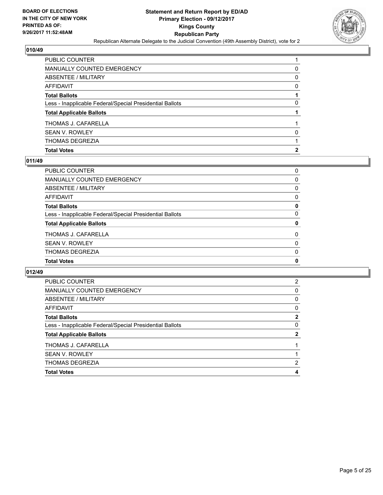

| <b>Total Votes</b>                                       | 2 |
|----------------------------------------------------------|---|
| <b>THOMAS DEGREZIA</b>                                   |   |
| <b>SEAN V. ROWLEY</b>                                    | 0 |
| THOMAS J. CAFARELLA                                      |   |
| <b>Total Applicable Ballots</b>                          |   |
| Less - Inapplicable Federal/Special Presidential Ballots | 0 |
| <b>Total Ballots</b>                                     |   |
| <b>AFFIDAVIT</b>                                         | 0 |
| <b>ABSENTEE / MILITARY</b>                               | 0 |
| <b>MANUALLY COUNTED EMERGENCY</b>                        | 0 |
| PUBLIC COUNTER                                           |   |

# **011/49**

| PUBLIC COUNTER                                           | 0        |
|----------------------------------------------------------|----------|
| MANUALLY COUNTED EMERGENCY                               | 0        |
| ABSENTEE / MILITARY                                      | 0        |
| AFFIDAVIT                                                | 0        |
| Total Ballots                                            | 0        |
| Less - Inapplicable Federal/Special Presidential Ballots | $\Omega$ |
| <b>Total Applicable Ballots</b>                          | 0        |
| THOMAS J. CAFARELLA                                      | $\Omega$ |
| SEAN V. ROWLEY                                           | 0        |
| THOMAS DEGREZIA                                          | $\Omega$ |
| <b>Total Votes</b>                                       | 0        |

| <b>Total Votes</b>                                       | 4            |
|----------------------------------------------------------|--------------|
| <b>THOMAS DEGREZIA</b>                                   | 2            |
| <b>SEAN V. ROWLEY</b>                                    |              |
| THOMAS J. CAFARELLA                                      |              |
| <b>Total Applicable Ballots</b>                          | 2            |
| Less - Inapplicable Federal/Special Presidential Ballots | 0            |
| <b>Total Ballots</b>                                     | $\mathbf{2}$ |
| AFFIDAVIT                                                | 0            |
| ABSENTEE / MILITARY                                      | 0            |
| MANUALLY COUNTED EMERGENCY                               | 0            |
| PUBLIC COUNTER                                           | 2            |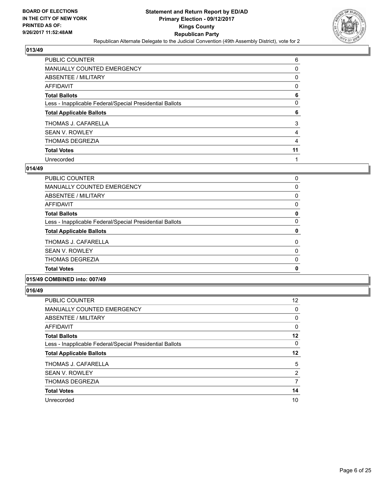

| PUBLIC COUNTER                                           | 6  |
|----------------------------------------------------------|----|
| MANUALLY COUNTED EMERGENCY                               | 0  |
| ABSENTEE / MILITARY                                      | 0  |
| AFFIDAVIT                                                | 0  |
| <b>Total Ballots</b>                                     | 6  |
| Less - Inapplicable Federal/Special Presidential Ballots | 0  |
| <b>Total Applicable Ballots</b>                          | 6  |
| THOMAS J. CAFARELLA                                      | 3  |
| <b>SEAN V. ROWLEY</b>                                    | 4  |
| <b>THOMAS DEGREZIA</b>                                   | 4  |
| <b>Total Votes</b>                                       | 11 |
| Unrecorded                                               |    |

#### **014/49**

| <b>Total Votes</b>                                       | $\mathbf 0$ |
|----------------------------------------------------------|-------------|
| <b>THOMAS DEGREZIA</b>                                   | 0           |
| <b>SEAN V. ROWLEY</b>                                    | 0           |
| THOMAS J. CAFARELLA                                      | 0           |
| <b>Total Applicable Ballots</b>                          | 0           |
| Less - Inapplicable Federal/Special Presidential Ballots | 0           |
| <b>Total Ballots</b>                                     | 0           |
| AFFIDAVIT                                                | 0           |
| ABSENTEE / MILITARY                                      | 0           |
| <b>MANUALLY COUNTED EMERGENCY</b>                        | 0           |
| PUBLIC COUNTER                                           | 0           |

## **015/49 COMBINED into: 007/49**

| <b>PUBLIC COUNTER</b>                                    | 12 |
|----------------------------------------------------------|----|
| MANUALLY COUNTED EMERGENCY                               | 0  |
| ABSENTEE / MILITARY                                      | 0  |
| AFFIDAVIT                                                | 0  |
| <b>Total Ballots</b>                                     | 12 |
| Less - Inapplicable Federal/Special Presidential Ballots | 0  |
|                                                          |    |
| <b>Total Applicable Ballots</b>                          | 12 |
| THOMAS J. CAFARELLA                                      | 5  |
| <b>SEAN V. ROWLEY</b>                                    | 2  |
| <b>THOMAS DEGREZIA</b>                                   | 7  |
| <b>Total Votes</b>                                       | 14 |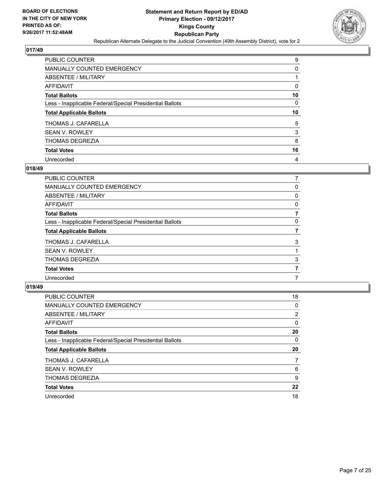

| PUBLIC COUNTER                                           | 9  |
|----------------------------------------------------------|----|
| <b>MANUALLY COUNTED EMERGENCY</b>                        | 0  |
| ABSENTEE / MILITARY                                      |    |
| AFFIDAVIT                                                | 0  |
| <b>Total Ballots</b>                                     | 10 |
| Less - Inapplicable Federal/Special Presidential Ballots | 0  |
| <b>Total Applicable Ballots</b>                          | 10 |
|                                                          |    |
| THOMAS J. CAFARELLA                                      | 5  |
| <b>SEAN V. ROWLEY</b>                                    | 3  |
| <b>THOMAS DEGREZIA</b>                                   | 8  |
| <b>Total Votes</b>                                       | 16 |

#### **018/49**

| 0 |
|---|
| 0 |
| 0 |
|   |
| 0 |
|   |
| 3 |
|   |
| 3 |
|   |
|   |
|   |

| PUBLIC COUNTER                                           | 18 |
|----------------------------------------------------------|----|
| <b>MANUALLY COUNTED EMERGENCY</b>                        | 0  |
| ABSENTEE / MILITARY                                      | 2  |
| AFFIDAVIT                                                | 0  |
| <b>Total Ballots</b>                                     | 20 |
| Less - Inapplicable Federal/Special Presidential Ballots | 0  |
| <b>Total Applicable Ballots</b>                          | 20 |
| THOMAS J. CAFARELLA                                      | 7  |
| <b>SEAN V. ROWLEY</b>                                    | 6  |
| <b>THOMAS DEGREZIA</b>                                   | 9  |
| <b>Total Votes</b>                                       | 22 |
|                                                          |    |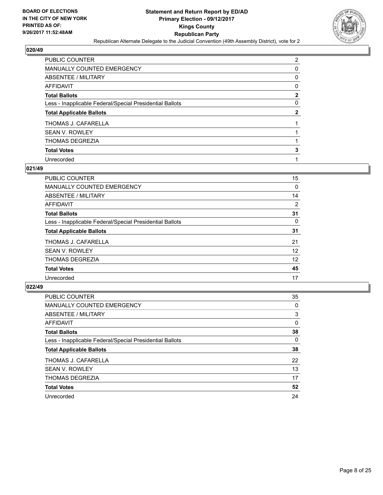

| PUBLIC COUNTER                                           | $\overline{2}$ |
|----------------------------------------------------------|----------------|
| MANUALLY COUNTED EMERGENCY                               | 0              |
| ABSENTEE / MILITARY                                      | 0              |
| <b>AFFIDAVIT</b>                                         | 0              |
| <b>Total Ballots</b>                                     | $\mathbf{2}$   |
| Less - Inapplicable Federal/Special Presidential Ballots | 0              |
| <b>Total Applicable Ballots</b>                          | $\mathbf{2}$   |
| THOMAS J. CAFARELLA                                      |                |
| <b>SEAN V. ROWLEY</b>                                    |                |
| <b>THOMAS DEGREZIA</b>                                   |                |
| <b>Total Votes</b>                                       | 3              |
| Unrecorded                                               |                |

#### **021/49**

| PUBLIC COUNTER                                           | 15       |
|----------------------------------------------------------|----------|
| <b>MANUALLY COUNTED EMERGENCY</b>                        | 0        |
| ABSENTEE / MILITARY                                      | 14       |
| AFFIDAVIT                                                | 2        |
| <b>Total Ballots</b>                                     | 31       |
| Less - Inapplicable Federal/Special Presidential Ballots | $\Omega$ |
| <b>Total Applicable Ballots</b>                          | 31       |
| THOMAS J. CAFARELLA                                      | 21       |
| <b>SEAN V. ROWLEY</b>                                    | 12       |
| <b>THOMAS DEGREZIA</b>                                   | 12       |
| <b>Total Votes</b>                                       | 45       |
| Unrecorded                                               | 17       |

| PUBLIC COUNTER                                           | 35 |
|----------------------------------------------------------|----|
| <b>MANUALLY COUNTED EMERGENCY</b>                        | 0  |
| ABSENTEE / MILITARY                                      | 3  |
| AFFIDAVIT                                                | 0  |
| <b>Total Ballots</b>                                     | 38 |
| Less - Inapplicable Federal/Special Presidential Ballots | 0  |
| <b>Total Applicable Ballots</b>                          | 38 |
| THOMAS J. CAFARELLA                                      | 22 |
| <b>SEAN V. ROWLEY</b>                                    | 13 |
| THOMAS DEGREZIA                                          | 17 |
| <b>Total Votes</b>                                       | 52 |
| Unrecorded                                               | 24 |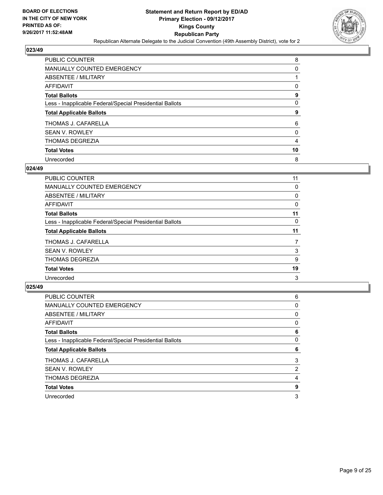

| PUBLIC COUNTER                                           | 8  |
|----------------------------------------------------------|----|
| <b>MANUALLY COUNTED EMERGENCY</b>                        | 0  |
| <b>ABSENTEE / MILITARY</b>                               |    |
| AFFIDAVIT                                                | 0  |
| <b>Total Ballots</b>                                     | 9  |
| Less - Inapplicable Federal/Special Presidential Ballots | 0  |
| <b>Total Applicable Ballots</b>                          | 9  |
| THOMAS J. CAFARELLA                                      | 6  |
| <b>SEAN V. ROWLEY</b>                                    | 0  |
| <b>THOMAS DEGREZIA</b>                                   | 4  |
| <b>Total Votes</b>                                       | 10 |
| Unrecorded                                               | 8  |

#### **024/49**

| <b>PUBLIC COUNTER</b>                                    | 11 |
|----------------------------------------------------------|----|
| MANUALLY COUNTED EMERGENCY                               | 0  |
| ABSENTEE / MILITARY                                      | 0  |
| AFFIDAVIT                                                | 0  |
| <b>Total Ballots</b>                                     | 11 |
| Less - Inapplicable Federal/Special Presidential Ballots | 0  |
| <b>Total Applicable Ballots</b>                          | 11 |
| THOMAS J. CAFARELLA                                      | 7  |
| <b>SEAN V. ROWLEY</b>                                    | 3  |
| <b>THOMAS DEGREZIA</b>                                   | 9  |
| <b>Total Votes</b>                                       | 19 |
| Unrecorded                                               | 3  |
|                                                          |    |

| PUBLIC COUNTER                                           | 6              |
|----------------------------------------------------------|----------------|
| <b>MANUALLY COUNTED EMERGENCY</b>                        | 0              |
| ABSENTEE / MILITARY                                      | 0              |
| AFFIDAVIT                                                | 0              |
| <b>Total Ballots</b>                                     | 6              |
| Less - Inapplicable Federal/Special Presidential Ballots | 0              |
| <b>Total Applicable Ballots</b>                          | 6              |
| THOMAS J. CAFARELLA                                      | 3              |
| <b>SEAN V. ROWLEY</b>                                    | $\overline{2}$ |
| <b>THOMAS DEGREZIA</b>                                   | 4              |
| <b>Total Votes</b>                                       | 9              |
| Unrecorded                                               | 3              |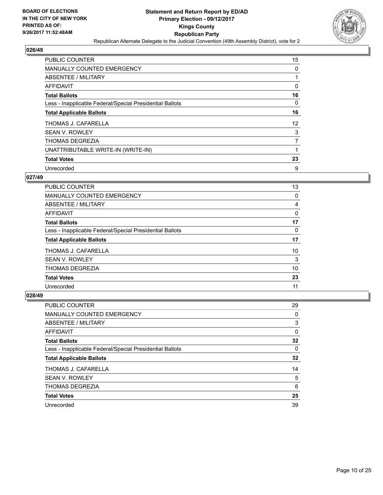

| <b>PUBLIC COUNTER</b>                                    | 15 |
|----------------------------------------------------------|----|
| MANUALLY COUNTED EMERGENCY                               | 0  |
| ABSENTEE / MILITARY                                      |    |
| <b>AFFIDAVIT</b>                                         | 0  |
| <b>Total Ballots</b>                                     | 16 |
| Less - Inapplicable Federal/Special Presidential Ballots | 0  |
| <b>Total Applicable Ballots</b>                          | 16 |
| THOMAS J. CAFARELLA                                      | 12 |
| SEAN V. ROWLEY                                           | 3  |
| <b>THOMAS DEGREZIA</b>                                   | 7  |
| UNATTRIBUTABLE WRITE-IN (WRITE-IN)                       |    |
| <b>Total Votes</b>                                       | 23 |
| Unrecorded                                               | 9  |

#### **027/49**

| PUBLIC COUNTER                                           | 13 |
|----------------------------------------------------------|----|
| MANUALLY COUNTED EMERGENCY                               | 0  |
| ABSENTEE / MILITARY                                      | 4  |
| AFFIDAVIT                                                | 0  |
| <b>Total Ballots</b>                                     | 17 |
| Less - Inapplicable Federal/Special Presidential Ballots | 0  |
| <b>Total Applicable Ballots</b>                          | 17 |
| THOMAS J. CAFARELLA                                      | 10 |
| <b>SEAN V. ROWLEY</b>                                    | 3  |
| <b>THOMAS DEGREZIA</b>                                   | 10 |
| <b>Total Votes</b>                                       | 23 |
| Unrecorded                                               | 11 |

| <b>PUBLIC COUNTER</b>                                    | 29 |
|----------------------------------------------------------|----|
| MANUALLY COUNTED EMERGENCY                               | 0  |
| ABSENTEE / MILITARY                                      | 3  |
| AFFIDAVIT                                                | 0  |
| <b>Total Ballots</b>                                     | 32 |
| Less - Inapplicable Federal/Special Presidential Ballots | 0  |
| <b>Total Applicable Ballots</b>                          | 32 |
| THOMAS J. CAFARELLA                                      | 14 |
| <b>SEAN V. ROWLEY</b>                                    | 5  |
| <b>THOMAS DEGREZIA</b>                                   | 6  |
| <b>Total Votes</b>                                       | 25 |
| Unrecorded                                               | 39 |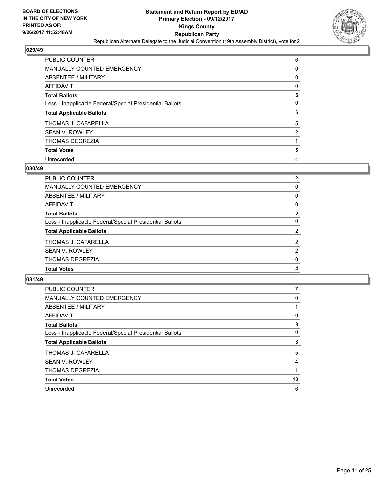

| PUBLIC COUNTER                                           | 6              |
|----------------------------------------------------------|----------------|
| <b>MANUALLY COUNTED EMERGENCY</b>                        | 0              |
| <b>ABSENTEE / MILITARY</b>                               | 0              |
| <b>AFFIDAVIT</b>                                         | 0              |
| <b>Total Ballots</b>                                     | 6              |
| Less - Inapplicable Federal/Special Presidential Ballots | 0              |
| <b>Total Applicable Ballots</b>                          | 6              |
| THOMAS J. CAFARELLA                                      | 5              |
| <b>SEAN V. ROWLEY</b>                                    | $\overline{2}$ |
| <b>THOMAS DEGREZIA</b>                                   |                |
| <b>Total Votes</b>                                       | 8              |
| Unrecorded                                               | 4              |

#### **030/49**

| <b>PUBLIC COUNTER</b>                                    | $\overline{2}$ |
|----------------------------------------------------------|----------------|
| <b>MANUALLY COUNTED EMERGENCY</b>                        | $\Omega$       |
| <b>ABSENTEE / MILITARY</b>                               | 0              |
| <b>AFFIDAVIT</b>                                         | 0              |
| <b>Total Ballots</b>                                     | $\overline{2}$ |
| Less - Inapplicable Federal/Special Presidential Ballots | $\Omega$       |
| <b>Total Applicable Ballots</b>                          | $\mathbf{2}$   |
| THOMAS J. CAFARELLA                                      | $\overline{2}$ |
| <b>SEAN V. ROWLEY</b>                                    | 2              |
| <b>THOMAS DEGREZIA</b>                                   | $\mathbf{0}$   |
| <b>Total Votes</b>                                       | 4              |
|                                                          |                |

| PUBLIC COUNTER                                           |    |
|----------------------------------------------------------|----|
| <b>MANUALLY COUNTED EMERGENCY</b>                        | 0  |
| ABSENTEE / MILITARY                                      |    |
| <b>AFFIDAVIT</b>                                         | 0  |
| <b>Total Ballots</b>                                     | 8  |
| Less - Inapplicable Federal/Special Presidential Ballots | 0  |
| <b>Total Applicable Ballots</b>                          | 8  |
| THOMAS J. CAFARELLA                                      | 5  |
| <b>SEAN V. ROWLEY</b>                                    | 4  |
| <b>THOMAS DEGREZIA</b>                                   |    |
| <b>Total Votes</b>                                       | 10 |
| Unrecorded                                               | 6  |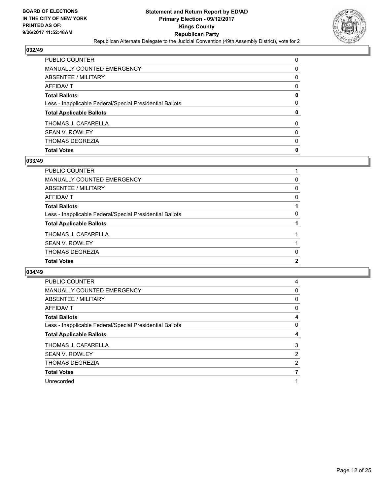

| <b>Total Votes</b>                                       | 0 |
|----------------------------------------------------------|---|
| THOMAS DEGREZIA                                          | 0 |
| <b>SEAN V. ROWLEY</b>                                    | 0 |
| THOMAS J. CAFARELLA                                      | 0 |
| <b>Total Applicable Ballots</b>                          | 0 |
| Less - Inapplicable Federal/Special Presidential Ballots | 0 |
| <b>Total Ballots</b>                                     | 0 |
| <b>AFFIDAVIT</b>                                         | 0 |
| <b>ABSENTEE / MILITARY</b>                               | 0 |
| <b>MANUALLY COUNTED EMERGENCY</b>                        | 0 |
| PUBLIC COUNTER                                           | 0 |

# **033/49**

| PUBLIC COUNTER                                           |              |
|----------------------------------------------------------|--------------|
| MANUALLY COUNTED EMERGENCY                               | 0            |
| ABSENTEE / MILITARY                                      | 0            |
| AFFIDAVIT                                                | 0            |
| Total Ballots                                            |              |
| Less - Inapplicable Federal/Special Presidential Ballots | 0            |
| <b>Total Applicable Ballots</b>                          |              |
| THOMAS J. CAFARELLA                                      |              |
| SEAN V. ROWLEY                                           |              |
| THOMAS DEGREZIA                                          | 0            |
| <b>Total Votes</b>                                       | $\mathbf{2}$ |
|                                                          |              |

| <b>PUBLIC COUNTER</b>                                    | 4 |
|----------------------------------------------------------|---|
| <b>MANUALLY COUNTED EMERGENCY</b>                        | 0 |
| ABSENTEE / MILITARY                                      | 0 |
| <b>AFFIDAVIT</b>                                         | 0 |
| <b>Total Ballots</b>                                     | 4 |
| Less - Inapplicable Federal/Special Presidential Ballots | 0 |
|                                                          |   |
| <b>Total Applicable Ballots</b>                          | 4 |
| THOMAS J. CAFARELLA                                      | 3 |
| <b>SEAN V. ROWLEY</b>                                    | 2 |
| <b>THOMAS DEGREZIA</b>                                   | 2 |
| <b>Total Votes</b>                                       |   |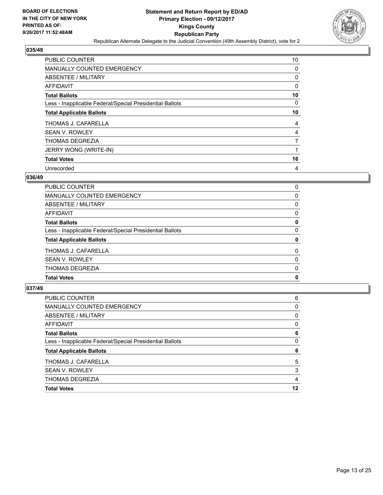

| PUBLIC COUNTER                                           | 10             |
|----------------------------------------------------------|----------------|
| MANUALLY COUNTED EMERGENCY                               | 0              |
| ABSENTEE / MILITARY                                      | 0              |
| AFFIDAVIT                                                | 0              |
| <b>Total Ballots</b>                                     | 10             |
| Less - Inapplicable Federal/Special Presidential Ballots | 0              |
| <b>Total Applicable Ballots</b>                          | 10             |
| THOMAS J. CAFARELLA                                      | 4              |
| <b>SEAN V. ROWLEY</b>                                    | 4              |
| <b>THOMAS DEGREZIA</b>                                   | $\overline{7}$ |
| <b>JERRY WONG (WRITE-IN)</b>                             |                |
| <b>Total Votes</b>                                       | 16             |
| Unrecorded                                               | 4              |

# **036/49**

| <b>Total Votes</b>                                       | 0 |
|----------------------------------------------------------|---|
| <b>THOMAS DEGREZIA</b>                                   | 0 |
| <b>SEAN V. ROWLEY</b>                                    | 0 |
| THOMAS J. CAFARELLA                                      | 0 |
| <b>Total Applicable Ballots</b>                          | 0 |
| Less - Inapplicable Federal/Special Presidential Ballots | 0 |
| <b>Total Ballots</b>                                     | 0 |
| AFFIDAVIT                                                | 0 |
| ABSENTEE / MILITARY                                      | 0 |
| MANUALLY COUNTED EMERGENCY                               | 0 |
| PUBLIC COUNTER                                           | 0 |

| 6  |
|----|
| 0  |
| 0  |
| 0  |
| 6  |
| 0  |
| 6  |
| 5  |
| 3  |
| 4  |
| 12 |
|    |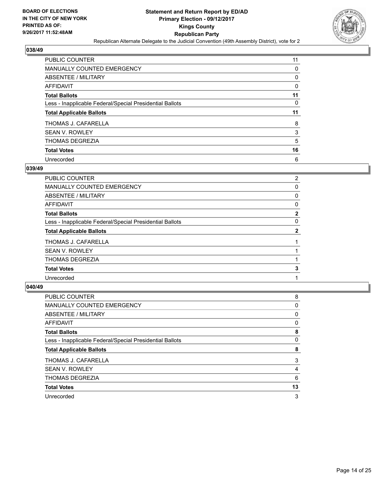

| PUBLIC COUNTER                                           | 11 |
|----------------------------------------------------------|----|
| <b>MANUALLY COUNTED EMERGENCY</b>                        | 0  |
| ABSENTEE / MILITARY                                      | 0  |
| AFFIDAVIT                                                | 0  |
| <b>Total Ballots</b>                                     | 11 |
| Less - Inapplicable Federal/Special Presidential Ballots | 0  |
| <b>Total Applicable Ballots</b>                          | 11 |
| THOMAS J. CAFARELLA                                      | 8  |
| <b>SEAN V. ROWLEY</b>                                    | 3  |
| <b>THOMAS DEGREZIA</b>                                   | 5  |
| <b>Total Votes</b>                                       | 16 |
| Unrecorded                                               | 6  |

#### **039/49**

| PUBLIC COUNTER                                           | $\overline{2}$ |
|----------------------------------------------------------|----------------|
| <b>MANUALLY COUNTED EMERGENCY</b>                        | 0              |
| ABSENTEE / MILITARY                                      | 0              |
| AFFIDAVIT                                                | 0              |
| <b>Total Ballots</b>                                     | $\mathbf{2}$   |
| Less - Inapplicable Federal/Special Presidential Ballots | 0              |
| <b>Total Applicable Ballots</b>                          | $\mathbf{2}$   |
| THOMAS J. CAFARELLA                                      |                |
| <b>SEAN V. ROWLEY</b>                                    |                |
| <b>THOMAS DEGREZIA</b>                                   |                |
| <b>Total Votes</b>                                       | 3              |
| Unrecorded                                               |                |
|                                                          |                |

| PUBLIC COUNTER                                           | 8  |
|----------------------------------------------------------|----|
| MANUALLY COUNTED EMERGENCY                               | 0  |
| ABSENTEE / MILITARY                                      | 0  |
| AFFIDAVIT                                                | 0  |
| <b>Total Ballots</b>                                     | 8  |
| Less - Inapplicable Federal/Special Presidential Ballots | 0  |
| <b>Total Applicable Ballots</b>                          | 8  |
| THOMAS J. CAFARELLA                                      | 3  |
| <b>SEAN V. ROWLEY</b>                                    | 4  |
| <b>THOMAS DEGREZIA</b>                                   | 6  |
| <b>Total Votes</b>                                       | 13 |
| Unrecorded                                               | 3  |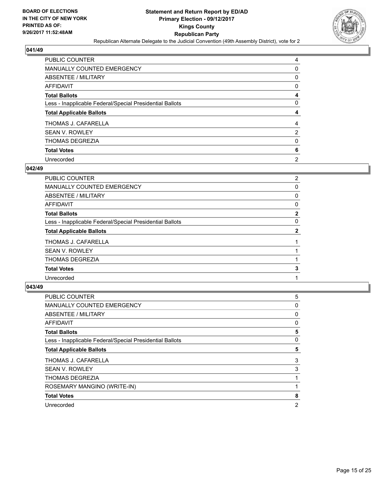

| <b>PUBLIC COUNTER</b>                                    | 4              |
|----------------------------------------------------------|----------------|
| <b>MANUALLY COUNTED EMERGENCY</b>                        | 0              |
| ABSENTEE / MILITARY                                      | 0              |
| <b>AFFIDAVIT</b>                                         | 0              |
| <b>Total Ballots</b>                                     | 4              |
| Less - Inapplicable Federal/Special Presidential Ballots | 0              |
| <b>Total Applicable Ballots</b>                          | 4              |
| THOMAS J. CAFARELLA                                      | 4              |
| <b>SEAN V. ROWLEY</b>                                    | $\overline{2}$ |
| <b>THOMAS DEGREZIA</b>                                   | 0              |
| <b>Total Votes</b>                                       | 6              |
| Unrecorded                                               | $\overline{2}$ |

#### **042/49**

| PUBLIC COUNTER                                           | $\overline{2}$ |
|----------------------------------------------------------|----------------|
| MANUALLY COUNTED EMERGENCY                               | 0              |
| ABSENTEE / MILITARY                                      | 0              |
| AFFIDAVIT                                                | 0              |
| <b>Total Ballots</b>                                     | $\mathbf{2}$   |
| Less - Inapplicable Federal/Special Presidential Ballots | 0              |
| <b>Total Applicable Ballots</b>                          | 2              |
| THOMAS J. CAFARELLA                                      |                |
| <b>SEAN V. ROWLEY</b>                                    |                |
| <b>THOMAS DEGREZIA</b>                                   |                |
| <b>Total Votes</b>                                       | 3              |
| Unrecorded                                               |                |
|                                                          |                |

| <b>PUBLIC COUNTER</b>                                    | 5              |
|----------------------------------------------------------|----------------|
| MANUALLY COUNTED EMERGENCY                               | 0              |
| ABSENTEE / MILITARY                                      | 0              |
| AFFIDAVIT                                                | 0              |
| <b>Total Ballots</b>                                     | 5              |
| Less - Inapplicable Federal/Special Presidential Ballots | 0              |
| <b>Total Applicable Ballots</b>                          | 5              |
| THOMAS J. CAFARELLA                                      | 3              |
| <b>SEAN V. ROWLEY</b>                                    | 3              |
| <b>THOMAS DEGREZIA</b>                                   |                |
| ROSEMARY MANGINO (WRITE-IN)                              |                |
| <b>Total Votes</b>                                       | 8              |
| Unrecorded                                               | $\overline{2}$ |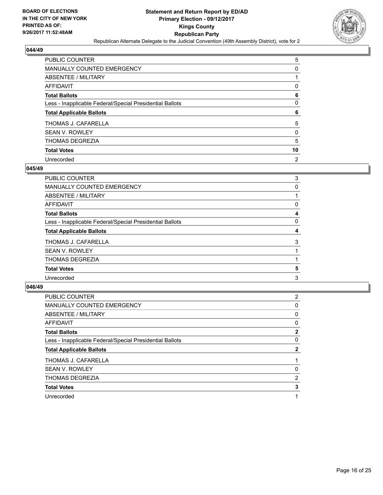

| PUBLIC COUNTER                                           | 5              |
|----------------------------------------------------------|----------------|
| <b>MANUALLY COUNTED EMERGENCY</b>                        | 0              |
| ABSENTEE / MILITARY                                      |                |
| AFFIDAVIT                                                | 0              |
| <b>Total Ballots</b>                                     | 6              |
| Less - Inapplicable Federal/Special Presidential Ballots | 0              |
| <b>Total Applicable Ballots</b>                          | 6              |
| THOMAS J. CAFARELLA                                      | 5              |
| <b>SEAN V. ROWLEY</b>                                    | 0              |
| <b>THOMAS DEGREZIA</b>                                   | 5              |
| <b>Total Votes</b>                                       | 10             |
| Unrecorded                                               | $\overline{2}$ |

#### **045/49**

| PUBLIC COUNTER                                           | 3 |
|----------------------------------------------------------|---|
| <b>MANUALLY COUNTED EMERGENCY</b>                        | 0 |
| ABSENTEE / MILITARY                                      |   |
| AFFIDAVIT                                                | 0 |
| <b>Total Ballots</b>                                     | 4 |
| Less - Inapplicable Federal/Special Presidential Ballots | 0 |
| <b>Total Applicable Ballots</b>                          | 4 |
| THOMAS J. CAFARELLA                                      | 3 |
| <b>SEAN V. ROWLEY</b>                                    |   |
| <b>THOMAS DEGREZIA</b>                                   |   |
| <b>Total Votes</b>                                       | 5 |
| Unrecorded                                               | 3 |
|                                                          |   |

| PUBLIC COUNTER                                           | $\overline{2}$ |
|----------------------------------------------------------|----------------|
| MANUALLY COUNTED EMERGENCY                               | 0              |
| ABSENTEE / MILITARY                                      | 0              |
| AFFIDAVIT                                                | 0              |
| <b>Total Ballots</b>                                     | 2              |
| Less - Inapplicable Federal/Special Presidential Ballots | 0              |
| <b>Total Applicable Ballots</b>                          | 2              |
| THOMAS J. CAFARELLA                                      |                |
| <b>SEAN V. ROWLEY</b>                                    | 0              |
| <b>THOMAS DEGREZIA</b>                                   | 2              |
| <b>Total Votes</b>                                       | 3              |
| Unrecorded                                               |                |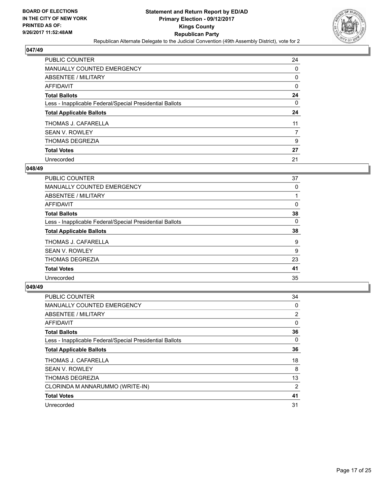

| PUBLIC COUNTER                                           | 24 |
|----------------------------------------------------------|----|
| <b>MANUALLY COUNTED EMERGENCY</b>                        | 0  |
| ABSENTEE / MILITARY                                      | 0  |
| AFFIDAVIT                                                | 0  |
| <b>Total Ballots</b>                                     | 24 |
| Less - Inapplicable Federal/Special Presidential Ballots | 0  |
| <b>Total Applicable Ballots</b>                          | 24 |
| THOMAS J. CAFARELLA                                      | 11 |
| <b>SEAN V. ROWLEY</b>                                    | 7  |
| <b>THOMAS DEGREZIA</b>                                   | 9  |
| <b>Total Votes</b>                                       | 27 |
| Unrecorded                                               | 21 |

#### **048/49**

| <b>PUBLIC COUNTER</b>                                    | 37 |
|----------------------------------------------------------|----|
| <b>MANUALLY COUNTED EMERGENCY</b>                        | 0  |
| ABSENTEE / MILITARY                                      |    |
| AFFIDAVIT                                                | 0  |
| <b>Total Ballots</b>                                     | 38 |
| Less - Inapplicable Federal/Special Presidential Ballots | 0  |
| <b>Total Applicable Ballots</b>                          | 38 |
| THOMAS J. CAFARELLA                                      | 9  |
| <b>SEAN V. ROWLEY</b>                                    | 9  |
| <b>THOMAS DEGREZIA</b>                                   | 23 |
| <b>Total Votes</b>                                       | 41 |
| Unrecorded                                               | 35 |
|                                                          |    |

| <b>PUBLIC COUNTER</b>                                    | 34             |
|----------------------------------------------------------|----------------|
| <b>MANUALLY COUNTED EMERGENCY</b>                        | 0              |
| ABSENTEE / MILITARY                                      | $\overline{2}$ |
| AFFIDAVIT                                                | 0              |
| <b>Total Ballots</b>                                     | 36             |
| Less - Inapplicable Federal/Special Presidential Ballots | 0              |
| <b>Total Applicable Ballots</b>                          | 36             |
| THOMAS J. CAFARELLA                                      | 18             |
| <b>SEAN V. ROWLEY</b>                                    | 8              |
| <b>THOMAS DEGREZIA</b>                                   | 13             |
| CLORINDA M ANNARUMMO (WRITE-IN)                          | 2              |
| <b>Total Votes</b>                                       | 41             |
| Unrecorded                                               | 31             |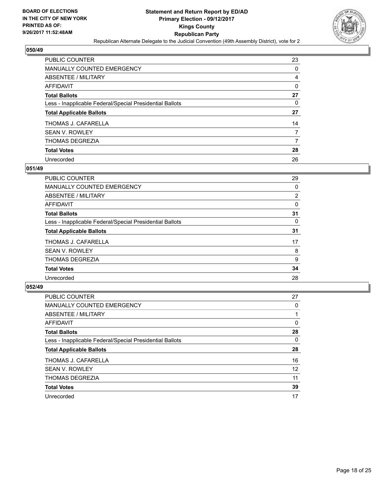

| PUBLIC COUNTER                                           | 23 |
|----------------------------------------------------------|----|
| <b>MANUALLY COUNTED EMERGENCY</b>                        | 0  |
| ABSENTEE / MILITARY                                      | 4  |
| AFFIDAVIT                                                | 0  |
| <b>Total Ballots</b>                                     | 27 |
| Less - Inapplicable Federal/Special Presidential Ballots | 0  |
| <b>Total Applicable Ballots</b>                          | 27 |
| THOMAS J. CAFARELLA                                      | 14 |
| <b>SEAN V. ROWLEY</b>                                    | 7  |
| <b>THOMAS DEGREZIA</b>                                   | 7  |
| <b>Total Votes</b>                                       | 28 |
| Unrecorded                                               | 26 |

#### **051/49**

| <b>PUBLIC COUNTER</b>                                    | 29 |
|----------------------------------------------------------|----|
| MANUALLY COUNTED EMERGENCY                               | 0  |
| ABSENTEE / MILITARY                                      | 2  |
| <b>AFFIDAVIT</b>                                         | 0  |
| <b>Total Ballots</b>                                     | 31 |
| Less - Inapplicable Federal/Special Presidential Ballots | 0  |
| <b>Total Applicable Ballots</b>                          | 31 |
| THOMAS J. CAFARELLA                                      | 17 |
| <b>SEAN V. ROWLEY</b>                                    | 8  |
| <b>THOMAS DEGREZIA</b>                                   | 9  |
| <b>Total Votes</b>                                       | 34 |
| Unrecorded                                               | 28 |

| PUBLIC COUNTER                                           | 27 |
|----------------------------------------------------------|----|
| <b>MANUALLY COUNTED EMERGENCY</b>                        | 0  |
| ABSENTEE / MILITARY                                      |    |
| AFFIDAVIT                                                | 0  |
| <b>Total Ballots</b>                                     | 28 |
| Less - Inapplicable Federal/Special Presidential Ballots | 0  |
| <b>Total Applicable Ballots</b>                          | 28 |
| THOMAS J. CAFARELLA                                      | 16 |
| <b>SEAN V. ROWLEY</b>                                    | 12 |
| <b>THOMAS DEGREZIA</b>                                   | 11 |
| <b>Total Votes</b>                                       | 39 |
| Unrecorded                                               | 17 |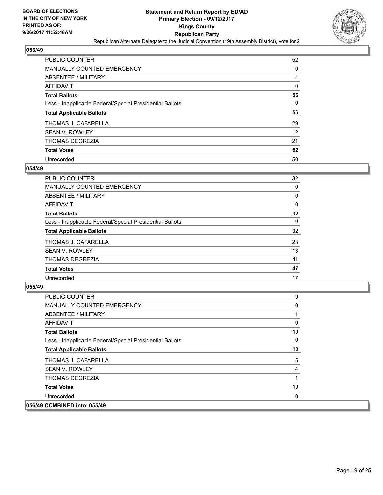

| <b>PUBLIC COUNTER</b>                                    | 52 |
|----------------------------------------------------------|----|
| <b>MANUALLY COUNTED EMERGENCY</b>                        | 0  |
| ABSENTEE / MILITARY                                      | 4  |
| AFFIDAVIT                                                | 0  |
| <b>Total Ballots</b>                                     | 56 |
| Less - Inapplicable Federal/Special Presidential Ballots | 0  |
| <b>Total Applicable Ballots</b>                          | 56 |
| THOMAS J. CAFARELLA                                      | 29 |
| <b>SEAN V. ROWLEY</b>                                    | 12 |
| <b>THOMAS DEGREZIA</b>                                   | 21 |
| <b>Total Votes</b>                                       | 62 |
| Unrecorded                                               | 50 |

#### **054/49**

| <b>PUBLIC COUNTER</b>                                    | 32 |
|----------------------------------------------------------|----|
| MANUALLY COUNTED EMERGENCY                               | 0  |
| ABSENTEE / MILITARY                                      | 0  |
| AFFIDAVIT                                                | 0  |
| <b>Total Ballots</b>                                     | 32 |
| Less - Inapplicable Federal/Special Presidential Ballots | 0  |
| <b>Total Applicable Ballots</b>                          | 32 |
| THOMAS J. CAFARELLA                                      | 23 |
| <b>SEAN V. ROWLEY</b>                                    | 13 |
| <b>THOMAS DEGREZIA</b>                                   | 11 |
| <b>Total Votes</b>                                       | 47 |
| Unrecorded                                               | 17 |
|                                                          |    |

| PUBLIC COUNTER                                           | 9  |
|----------------------------------------------------------|----|
| <b>MANUALLY COUNTED EMERGENCY</b>                        | 0  |
| ABSENTEE / MILITARY                                      |    |
| AFFIDAVIT                                                | 0  |
| <b>Total Ballots</b>                                     | 10 |
| Less - Inapplicable Federal/Special Presidential Ballots | 0  |
| <b>Total Applicable Ballots</b>                          | 10 |
| THOMAS J. CAFARELLA                                      | 5  |
| <b>SEAN V. ROWLEY</b>                                    | 4  |
| <b>THOMAS DEGREZIA</b>                                   |    |
| <b>Total Votes</b>                                       | 10 |
| Unrecorded                                               | 10 |
| 056/49 COMBINED into: 055/49                             |    |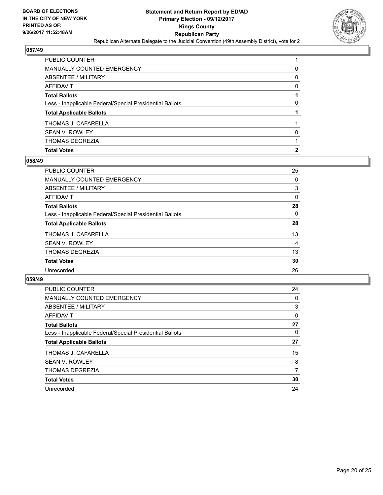

| <b>Total Votes</b>                                       | 2        |
|----------------------------------------------------------|----------|
| THOMAS DEGREZIA                                          |          |
| <b>SEAN V. ROWLEY</b>                                    | $\Omega$ |
| THOMAS J. CAFARELLA                                      |          |
| <b>Total Applicable Ballots</b>                          |          |
| Less - Inapplicable Federal/Special Presidential Ballots | 0        |
| <b>Total Ballots</b>                                     |          |
| <b>AFFIDAVIT</b>                                         | 0        |
| ABSENTEE / MILITARY                                      | 0        |
| MANUALLY COUNTED EMERGENCY                               | 0        |
| <b>PUBLIC COUNTER</b>                                    |          |

# **058/49**

| <b>PUBLIC COUNTER</b>                                    | 25 |
|----------------------------------------------------------|----|
| <b>MANUALLY COUNTED EMERGENCY</b>                        | 0  |
| ABSENTEE / MILITARY                                      | 3  |
| <b>AFFIDAVIT</b>                                         | 0  |
| <b>Total Ballots</b>                                     | 28 |
| Less - Inapplicable Federal/Special Presidential Ballots | 0  |
| <b>Total Applicable Ballots</b>                          | 28 |
| THOMAS J. CAFARELLA                                      | 13 |
| <b>SEAN V. ROWLEY</b>                                    | 4  |
| THOMAS DEGREZIA                                          | 13 |
| <b>Total Votes</b>                                       | 30 |
| Unrecorded                                               | 26 |
|                                                          |    |

| <b>PUBLIC COUNTER</b>                                    | 24 |
|----------------------------------------------------------|----|
| <b>MANUALLY COUNTED EMERGENCY</b>                        | 0  |
| ABSENTEE / MILITARY                                      | 3  |
| <b>AFFIDAVIT</b>                                         | 0  |
| <b>Total Ballots</b>                                     | 27 |
| Less - Inapplicable Federal/Special Presidential Ballots | 0  |
| <b>Total Applicable Ballots</b>                          | 27 |
| THOMAS J. CAFARELLA                                      | 15 |
| <b>SEAN V. ROWLEY</b>                                    | 8  |
| <b>THOMAS DEGREZIA</b>                                   | 7  |
| <b>Total Votes</b>                                       | 30 |
| Unrecorded                                               | 24 |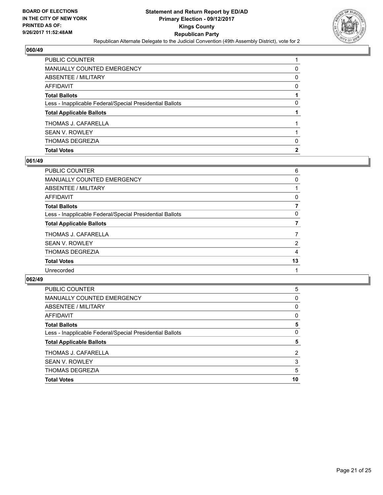

| <b>Total Votes</b>                                       | 2        |
|----------------------------------------------------------|----------|
| THOMAS DEGREZIA                                          | 0        |
| <b>SEAN V. ROWLEY</b>                                    |          |
| THOMAS J. CAFARELLA                                      |          |
| <b>Total Applicable Ballots</b>                          |          |
| Less - Inapplicable Federal/Special Presidential Ballots | 0        |
| <b>Total Ballots</b>                                     |          |
| <b>AFFIDAVIT</b>                                         | 0        |
| ABSENTEE / MILITARY                                      | $\Omega$ |
| <b>MANUALLY COUNTED EMERGENCY</b>                        | 0        |
| <b>PUBLIC COUNTER</b>                                    |          |

# **061/49**

| PUBLIC COUNTER                                           | 6              |
|----------------------------------------------------------|----------------|
| MANUALLY COUNTED EMERGENCY                               | 0              |
| ABSENTEE / MILITARY                                      |                |
| AFFIDAVIT                                                | 0              |
| Total Ballots                                            | 7              |
| Less - Inapplicable Federal/Special Presidential Ballots | 0              |
| <b>Total Applicable Ballots</b>                          | 7              |
| THOMAS J. CAFARELLA                                      | $\overline{7}$ |
| SEAN V. ROWLEY                                           | $\overline{2}$ |
| THOMAS DEGREZIA                                          | 4              |
| <b>Total Votes</b>                                       | 13             |
| Unrecorded                                               |                |
|                                                          |                |

| <b>Total Applicable Ballots</b>                          | 5 |
|----------------------------------------------------------|---|
| Less - Inapplicable Federal/Special Presidential Ballots | 0 |
| <b>Total Ballots</b>                                     | 5 |
| AFFIDAVIT                                                | 0 |
| ABSENTEE / MILITARY                                      | 0 |
| <b>MANUALLY COUNTED EMERGENCY</b>                        | 0 |
| PUBLIC COUNTER                                           | 5 |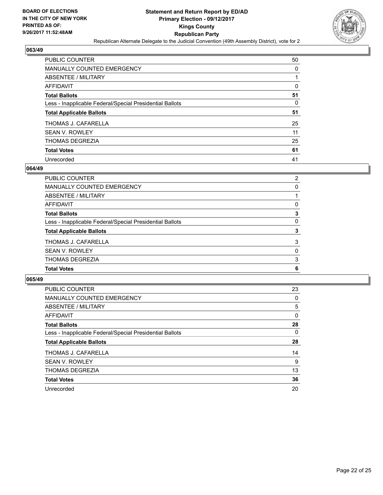

| <b>PUBLIC COUNTER</b>                                    | 50 |
|----------------------------------------------------------|----|
| <b>MANUALLY COUNTED EMERGENCY</b>                        | 0  |
| ABSENTEE / MILITARY                                      |    |
| AFFIDAVIT                                                | 0  |
| <b>Total Ballots</b>                                     | 51 |
| Less - Inapplicable Federal/Special Presidential Ballots | 0  |
| <b>Total Applicable Ballots</b>                          | 51 |
| THOMAS J. CAFARELLA                                      | 25 |
| <b>SEAN V. ROWLEY</b>                                    | 11 |
| THOMAS DEGREZIA                                          | 25 |
| <b>Total Votes</b>                                       | 61 |
| Unrecorded                                               | 41 |

#### **064/49**

| <b>MANUALLY COUNTED EMERGENCY</b>                        | 0        |
|----------------------------------------------------------|----------|
| ABSENTEE / MILITARY                                      |          |
| <b>AFFIDAVIT</b>                                         | 0        |
| <b>Total Ballots</b>                                     | 3        |
| Less - Inapplicable Federal/Special Presidential Ballots | 0        |
| <b>Total Applicable Ballots</b>                          | 3        |
| THOMAS J. CAFARELLA                                      | 3        |
| <b>SEAN V. ROWLEY</b>                                    | $\Omega$ |
| <b>THOMAS DEGREZIA</b>                                   | 3        |
| <b>Total Votes</b>                                       | 6        |
|                                                          |          |

| <b>PUBLIC COUNTER</b>                                    | 23 |
|----------------------------------------------------------|----|
| <b>MANUALLY COUNTED EMERGENCY</b>                        | 0  |
| ABSENTEE / MILITARY                                      | 5  |
| <b>AFFIDAVIT</b>                                         | 0  |
| <b>Total Ballots</b>                                     | 28 |
| Less - Inapplicable Federal/Special Presidential Ballots | 0  |
| <b>Total Applicable Ballots</b>                          | 28 |
| THOMAS J. CAFARELLA                                      | 14 |
| <b>SEAN V. ROWLEY</b>                                    | 9  |
| <b>THOMAS DEGREZIA</b>                                   | 13 |
| <b>Total Votes</b>                                       | 36 |
| Unrecorded                                               | 20 |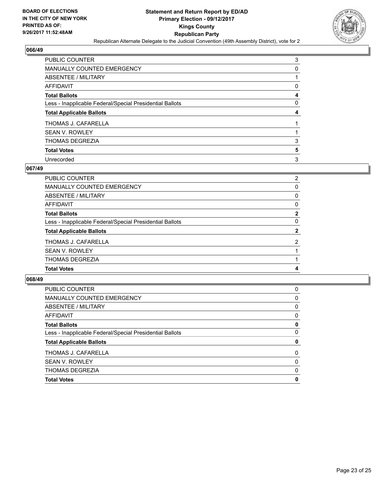

| PUBLIC COUNTER                                           | 3 |
|----------------------------------------------------------|---|
| MANUALLY COUNTED EMERGENCY                               | 0 |
| ABSENTEE / MILITARY                                      |   |
| <b>AFFIDAVIT</b>                                         | 0 |
| <b>Total Ballots</b>                                     | 4 |
| Less - Inapplicable Federal/Special Presidential Ballots | 0 |
| <b>Total Applicable Ballots</b>                          | 4 |
| THOMAS J. CAFARELLA                                      |   |
| <b>SEAN V. ROWLEY</b>                                    |   |
| <b>THOMAS DEGREZIA</b>                                   | 3 |
| <b>Total Votes</b>                                       | 5 |
| Unrecorded                                               | 3 |

#### **067/49**

| <b>PUBLIC COUNTER</b>                                    | $\overline{2}$ |
|----------------------------------------------------------|----------------|
| <b>MANUALLY COUNTED EMERGENCY</b>                        | $\Omega$       |
| <b>ABSENTEE / MILITARY</b>                               | 0              |
| <b>AFFIDAVIT</b>                                         | 0              |
| <b>Total Ballots</b>                                     | $\overline{2}$ |
| Less - Inapplicable Federal/Special Presidential Ballots | $\Omega$       |
| <b>Total Applicable Ballots</b>                          | $\mathbf{2}$   |
| THOMAS J. CAFARELLA                                      | $\overline{2}$ |
| <b>SEAN V. ROWLEY</b>                                    |                |
| <b>THOMAS DEGREZIA</b>                                   |                |
| <b>Total Votes</b>                                       | 4              |
|                                                          |                |

| PUBLIC COUNTER                                           | 0 |
|----------------------------------------------------------|---|
| <b>MANUALLY COUNTED EMERGENCY</b>                        | 0 |
| ABSENTEE / MILITARY                                      | 0 |
| AFFIDAVIT                                                | 0 |
| <b>Total Ballots</b>                                     | 0 |
| Less - Inapplicable Federal/Special Presidential Ballots | 0 |
| <b>Total Applicable Ballots</b>                          | 0 |
| THOMAS J. CAFARELLA                                      | 0 |
| <b>SEAN V. ROWLEY</b>                                    | 0 |
| <b>THOMAS DEGREZIA</b>                                   | 0 |
| <b>Total Votes</b>                                       | 0 |
|                                                          |   |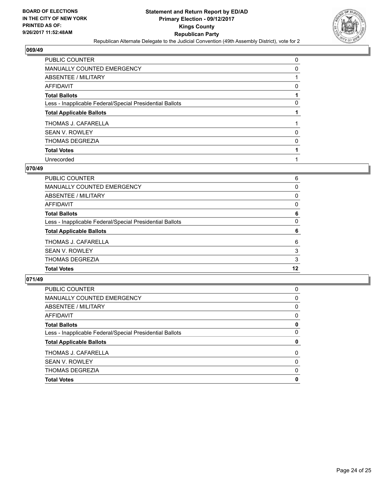

| PUBLIC COUNTER                                           | 0 |
|----------------------------------------------------------|---|
| <b>MANUALLY COUNTED EMERGENCY</b>                        | 0 |
| ABSENTEE / MILITARY                                      |   |
| <b>AFFIDAVIT</b>                                         | 0 |
| <b>Total Ballots</b>                                     |   |
| Less - Inapplicable Federal/Special Presidential Ballots | 0 |
| <b>Total Applicable Ballots</b>                          |   |
| THOMAS J. CAFARELLA                                      |   |
| <b>SEAN V. ROWLEY</b>                                    | 0 |
| <b>THOMAS DEGREZIA</b>                                   | 0 |
| <b>Total Votes</b>                                       |   |
| Unrecorded                                               |   |

#### **070/49**

| <b>Total Votes</b>                                       | 12 |
|----------------------------------------------------------|----|
| <b>THOMAS DEGREZIA</b>                                   | 3  |
| <b>SEAN V. ROWLEY</b>                                    | 3  |
| THOMAS J. CAFARELLA                                      | 6  |
| <b>Total Applicable Ballots</b>                          | 6  |
| Less - Inapplicable Federal/Special Presidential Ballots | 0  |
| <b>Total Ballots</b>                                     | 6  |
| <b>AFFIDAVIT</b>                                         | 0  |
| ABSENTEE / MILITARY                                      | 0  |
| <b>MANUALLY COUNTED EMERGENCY</b>                        | 0  |
| <b>PUBLIC COUNTER</b>                                    | 6  |

| <b>Total Votes</b>                                       | 0 |
|----------------------------------------------------------|---|
| <b>THOMAS DEGREZIA</b>                                   | 0 |
| <b>SEAN V. ROWLEY</b>                                    | 0 |
| THOMAS J. CAFARELLA                                      | 0 |
| <b>Total Applicable Ballots</b>                          | 0 |
| Less - Inapplicable Federal/Special Presidential Ballots | 0 |
| <b>Total Ballots</b>                                     | 0 |
| AFFIDAVIT                                                | 0 |
| ABSENTEE / MILITARY                                      | 0 |
| <b>MANUALLY COUNTED EMERGENCY</b>                        | 0 |
| PUBLIC COUNTER                                           | 0 |